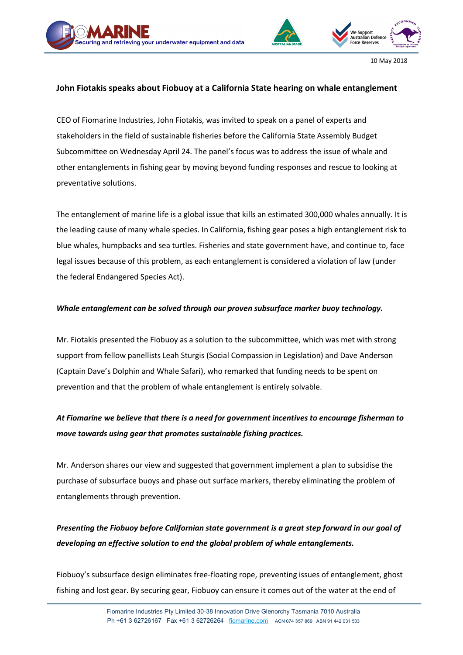



10 May 2018

## **John Fiotakis speaks about Fiobuoy at a California State hearing on whale entanglement**

CEO of Fiomarine Industries, John Fiotakis, was invited to speak on a panel of experts and stakeholders in the field of sustainable fisheries before the California State Assembly Budget Subcommittee on Wednesday April 24. The panel's focus was to address the issue of whale and other entanglements in fishing gear by moving beyond funding responses and rescue to looking at preventative solutions.

The entanglement of marine life is a global issue that kills an estimated 300,000 whales annually. It is the leading cause of many whale species. In California, fishing gear poses a high entanglement risk to blue whales, humpbacks and sea turtles. Fisheries and state government have, and continue to, face legal issues because of this problem, as each entanglement is considered a violation of law (under the federal Endangered Species Act).

### *Whale entanglement can be solved through our proven subsurface marker buoy technology.*

Mr. Fiotakis presented the Fiobuoy as a solution to the subcommittee, which was met with strong support from fellow panellists Leah Sturgis (Social Compassion in Legislation) and Dave Anderson (Captain Dave's Dolphin and Whale Safari), who remarked that funding needs to be spent on prevention and that the problem of whale entanglement is entirely solvable.

# *At Fiomarine we believe that there is a need for government incentives to encourage fisherman to move towards using gear that promotes sustainable fishing practices.*

Mr. Anderson shares our view and suggested that government implement a plan to subsidise the purchase of subsurface buoys and phase out surface markers, thereby eliminating the problem of entanglements through prevention.

# *Presenting the Fiobuoy before Californian state government is a great step forward in our goal of developing an effective solution to end the global problem of whale entanglements.*

Fiobuoy's subsurface design eliminates free-floating rope, preventing issues of entanglement, ghost fishing and lost gear. By securing gear, Fiobuoy can ensure it comes out of the water at the end of